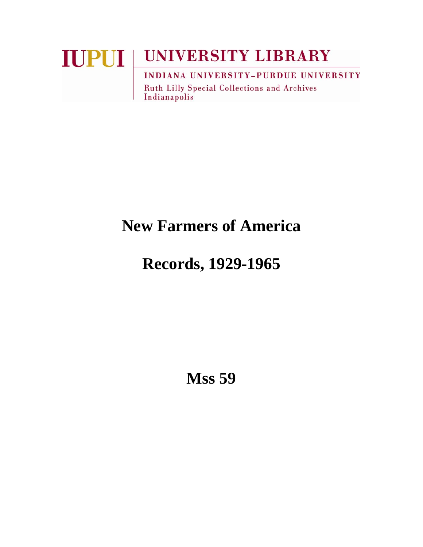# **IUPUI UNIVERSITY LIBRARY INDIANA UNIVERSITY-PURDUE UNIVERSITY**

Ruth Lilly Special Collections and Archives Indianapolis

# **New Farmers of America**

# **Records, 1929-1965**

**Mss 59**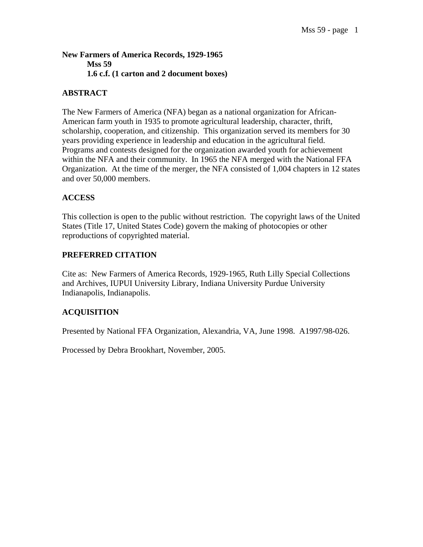#### **New Farmers of America Records, 1929-1965 Mss 59 1.6 c.f. (1 carton and 2 document boxes)**

#### **ABSTRACT**

The New Farmers of America (NFA) began as a national organization for African-American farm youth in 1935 to promote agricultural leadership, character, thrift, scholarship, cooperation, and citizenship. This organization served its members for 30 years providing experience in leadership and education in the agricultural field. Programs and contests designed for the organization awarded youth for achievement within the NFA and their community. In 1965 the NFA merged with the National FFA Organization. At the time of the merger, the NFA consisted of 1,004 chapters in 12 states and over 50,000 members.

#### **ACCESS**

This collection is open to the public without restriction. The copyright laws of the United States (Title 17, United States Code) govern the making of photocopies or other reproductions of copyrighted material.

#### **PREFERRED CITATION**

Cite as: New Farmers of America Records, 1929-1965, Ruth Lilly Special Collections and Archives, IUPUI University Library, Indiana University Purdue University Indianapolis, Indianapolis.

#### **ACQUISITION**

Presented by National FFA Organization, Alexandria, VA, June 1998. A1997/98-026.

Processed by Debra Brookhart, November, 2005.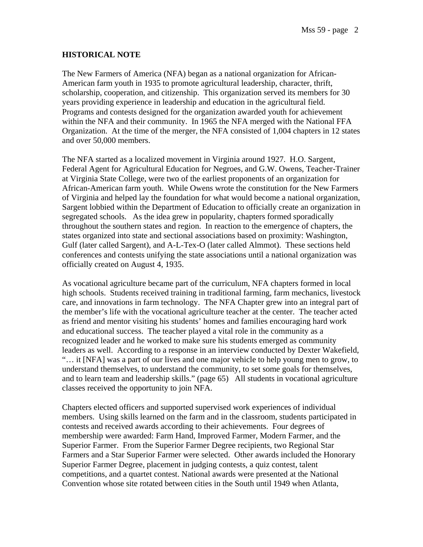#### **HISTORICAL NOTE**

The New Farmers of America (NFA) began as a national organization for African-American farm youth in 1935 to promote agricultural leadership, character, thrift, scholarship, cooperation, and citizenship. This organization served its members for 30 years providing experience in leadership and education in the agricultural field. Programs and contests designed for the organization awarded youth for achievement within the NFA and their community. In 1965 the NFA merged with the National FFA Organization. At the time of the merger, the NFA consisted of 1,004 chapters in 12 states and over 50,000 members.

The NFA started as a localized movement in Virginia around 1927. H.O. Sargent, Federal Agent for Agricultural Education for Negroes, and G.W. Owens, Teacher-Trainer at Virginia State College, were two of the earliest proponents of an organization for African-American farm youth. While Owens wrote the constitution for the New Farmers of Virginia and helped lay the foundation for what would become a national organization, Sargent lobbied within the Department of Education to officially create an organization in segregated schools. As the idea grew in popularity, chapters formed sporadically throughout the southern states and region. In reaction to the emergence of chapters, the states organized into state and sectional associations based on proximity: Washington, Gulf (later called Sargent), and A-L-Tex-O (later called Almmot). These sections held conferences and contests unifying the state associations until a national organization was officially created on August 4, 1935.

As vocational agriculture became part of the curriculum, NFA chapters formed in local high schools. Students received training in traditional farming, farm mechanics, livestock care, and innovations in farm technology. The NFA Chapter grew into an integral part of the member's life with the vocational agriculture teacher at the center. The teacher acted as friend and mentor visiting his students' homes and families encouraging hard work and educational success. The teacher played a vital role in the community as a recognized leader and he worked to make sure his students emerged as community leaders as well. According to a response in an interview conducted by Dexter Wakefield, "… it [NFA] was a part of our lives and one major vehicle to help young men to grow, to understand themselves, to understand the community, to set some goals for themselves, and to learn team and leadership skills." (page 65) All students in vocational agriculture classes received the opportunity to join NFA.

Chapters elected officers and supported supervised work experiences of individual members. Using skills learned on the farm and in the classroom, students participated in contests and received awards according to their achievements. Four degrees of membership were awarded: Farm Hand, Improved Farmer, Modern Farmer, and the Superior Farmer. From the Superior Farmer Degree recipients, two Regional Star Farmers and a Star Superior Farmer were selected. Other awards included the Honorary Superior Farmer Degree, placement in judging contests, a quiz contest, talent competitions, and a quartet contest. National awards were presented at the National Convention whose site rotated between cities in the South until 1949 when Atlanta,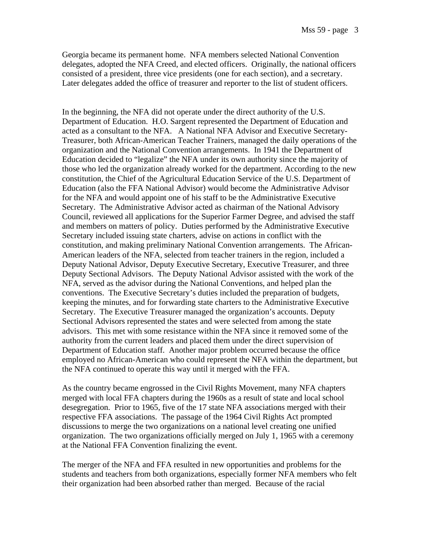Georgia became its permanent home. NFA members selected National Convention delegates, adopted the NFA Creed, and elected officers. Originally, the national officers consisted of a president, three vice presidents (one for each section), and a secretary. Later delegates added the office of treasurer and reporter to the list of student officers.

In the beginning, the NFA did not operate under the direct authority of the U.S. Department of Education. H.O. Sargent represented the Department of Education and acted as a consultant to the NFA. A National NFA Advisor and Executive Secretary-Treasurer, both African-American Teacher Trainers, managed the daily operations of the organization and the National Convention arrangements. In 1941 the Department of Education decided to "legalize" the NFA under its own authority since the majority of those who led the organization already worked for the department. According to the new constitution, the Chief of the Agricultural Education Service of the U.S. Department of Education (also the FFA National Advisor) would become the Administrative Advisor for the NFA and would appoint one of his staff to be the Administrative Executive Secretary. The Administrative Advisor acted as chairman of the National Advisory Council, reviewed all applications for the Superior Farmer Degree, and advised the staff and members on matters of policy. Duties performed by the Administrative Executive Secretary included issuing state charters, advise on actions in conflict with the constitution, and making preliminary National Convention arrangements. The African-American leaders of the NFA, selected from teacher trainers in the region, included a Deputy National Advisor, Deputy Executive Secretary, Executive Treasurer, and three Deputy Sectional Advisors. The Deputy National Advisor assisted with the work of the NFA, served as the advisor during the National Conventions, and helped plan the conventions. The Executive Secretary's duties included the preparation of budgets, keeping the minutes, and for forwarding state charters to the Administrative Executive Secretary. The Executive Treasurer managed the organization's accounts. Deputy Sectional Advisors represented the states and were selected from among the state advisors. This met with some resistance within the NFA since it removed some of the authority from the current leaders and placed them under the direct supervision of Department of Education staff. Another major problem occurred because the office employed no African-American who could represent the NFA within the department, but the NFA continued to operate this way until it merged with the FFA.

As the country became engrossed in the Civil Rights Movement, many NFA chapters merged with local FFA chapters during the 1960s as a result of state and local school desegregation. Prior to 1965, five of the 17 state NFA associations merged with their respective FFA associations. The passage of the 1964 Civil Rights Act prompted discussions to merge the two organizations on a national level creating one unified organization. The two organizations officially merged on July 1, 1965 with a ceremony at the National FFA Convention finalizing the event.

The merger of the NFA and FFA resulted in new opportunities and problems for the students and teachers from both organizations, especially former NFA members who felt their organization had been absorbed rather than merged. Because of the racial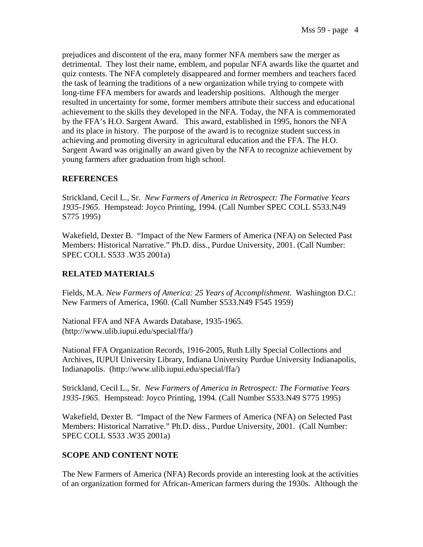prejudices and discontent of the era, many former NFA members saw the merger as detrimental. They lost their name, emblem, and popular NFA awards like the quartet and quiz contests. The NFA completely disappeared and former members and teachers faced the task of learning the traditions of a new organization while trying to compete with long-time FFA members for awards and leadership positions. Although the merger resulted in uncertainty for some, former members attribute their success and educational achievement to the skills they developed in the NFA. Today, the NFA is commemorated by the FFA's H.O. Sargent Award. This award, established in 1995, honors the NFA and its place in history. The purpose of the award is to recognize student success in achieving and promoting diversity in agricultural education and the FFA. The H.O. Sargent Award was originally an award given by the NFA to recognize achievement by young farmers after graduation from high school.

### **REFERENCES**

Strickland, Cecil L., Sr. *New Farmers of America in Retrospect: The Formative Years 1935-1965*. Hempstead: Joyco Printing, 1994. (Call Number SPEC COLL S533.N49 S775 1995)

Wakefield, Dexter B. "Impact of the New Farmers of America (NFA) on Selected Past Members: Historical Narrative." Ph.D. diss., Purdue University, 2001. (Call Number: SPEC COLL S533 .W35 2001a)

### **RELATED MATERIALS**

Fields, M.A. *New Farmers of America: 25 Years of Accomplishment*. Washington D.C.: New Farmers of America, 1960. (Call Number S533.N49 F545 1959)

National FFA and NFA Awards Database, 1935-1965. (http://www.ulib.iupui.edu/special/ffa/)

National FFA Organization Records, 1916-2005, Ruth Lilly Special Collections and Archives, IUPUI University Library, Indiana University Purdue University Indianapolis, Indianapolis. (http://www.ulib.iupui.edu/special/ffa/)

Strickland, Cecil L., Sr. *New Farmers of America in Retrospect: The Formative Years 1935-1965*. Hempstead: Joyco Printing, 1994. (Call Number S533.N49 S775 1995)

Wakefield, Dexter B. "Impact of the New Farmers of America (NFA) on Selected Past Members: Historical Narrative." Ph.D. diss., Purdue University, 2001. (Call Number: SPEC COLL S533 .W35 2001a)

#### **SCOPE AND CONTENT NOTE**

The New Farmers of America (NFA) Records provide an interesting look at the activities of an organization formed for African-American farmers during the 1930s. Although the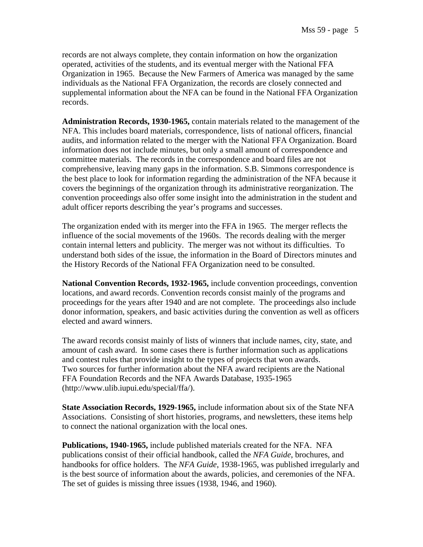records are not always complete, they contain information on how the organization operated, activities of the students, and its eventual merger with the National FFA Organization in 1965. Because the New Farmers of America was managed by the same individuals as the National FFA Organization, the records are closely connected and supplemental information about the NFA can be found in the National FFA Organization records.

**Administration Records, 1930-1965,** contain materials related to the management of the NFA. This includes board materials, correspondence, lists of national officers, financial audits, and information related to the merger with the National FFA Organization. Board information does not include minutes, but only a small amount of correspondence and committee materials. The records in the correspondence and board files are not comprehensive, leaving many gaps in the information. S.B. Simmons correspondence is the best place to look for information regarding the administration of the NFA because it covers the beginnings of the organization through its administrative reorganization. The convention proceedings also offer some insight into the administration in the student and adult officer reports describing the year's programs and successes.

The organization ended with its merger into the FFA in 1965. The merger reflects the influence of the social movements of the 1960s. The records dealing with the merger contain internal letters and publicity. The merger was not without its difficulties. To understand both sides of the issue, the information in the Board of Directors minutes and the History Records of the National FFA Organization need to be consulted.

**National Convention Records, 1932-1965,** include convention proceedings, convention locations, and award records. Convention records consist mainly of the programs and proceedings for the years after 1940 and are not complete. The proceedings also include donor information, speakers, and basic activities during the convention as well as officers elected and award winners.

The award records consist mainly of lists of winners that include names, city, state, and amount of cash award. In some cases there is further information such as applications and contest rules that provide insight to the types of projects that won awards. Two sources for further information about the NFA award recipients are the National FFA Foundation Records and the NFA Awards Database, 1935-1965 (http://www.ulib.iupui.edu/special/ffa/).

**State Association Records, 1929-1965,** include information about six of the State NFA Associations. Consisting of short histories, programs, and newsletters, these items help to connect the national organization with the local ones.

**Publications, 1940-1965,** include published materials created for the NFA. NFA publications consist of their official handbook, called the *NFA Guide*, brochures, and handbooks for office holders. The *NFA Guide*, 1938-1965, was published irregularly and is the best source of information about the awards, policies, and ceremonies of the NFA. The set of guides is missing three issues (1938, 1946, and 1960).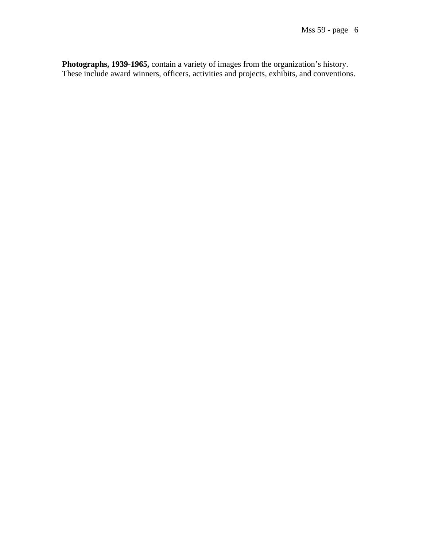**Photographs, 1939-1965,** contain a variety of images from the organization's history. These include award winners, officers, activities and projects, exhibits, and conventions.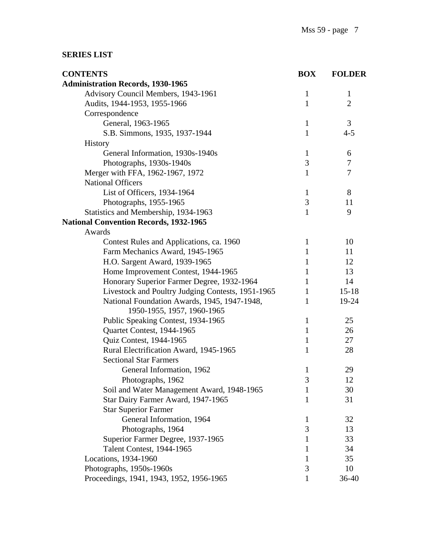## **SERIES LIST**

| <b>CONTENTS</b>                                   | <b>BOX</b>   | <b>FOLDER</b>  |
|---------------------------------------------------|--------------|----------------|
| <b>Administration Records, 1930-1965</b>          |              |                |
| Advisory Council Members, 1943-1961               | $\mathbf{1}$ | $\mathbf{1}$   |
| Audits, 1944-1953, 1955-1966                      | $\mathbf{1}$ | $\overline{2}$ |
| Correspondence                                    |              |                |
| General, 1963-1965                                | $\mathbf{1}$ | 3              |
| S.B. Simmons, 1935, 1937-1944                     | $\mathbf{1}$ | $4 - 5$        |
| <b>History</b>                                    |              |                |
| General Information, 1930s-1940s                  | $\mathbf{1}$ | 6              |
| Photographs, 1930s-1940s                          | 3            | 7              |
| Merger with FFA, 1962-1967, 1972                  | 1            | 7              |
| <b>National Officers</b>                          |              |                |
| List of Officers, 1934-1964                       | $\mathbf{1}$ | 8              |
| Photographs, 1955-1965                            | 3            | 11             |
| Statistics and Membership, 1934-1963              | $\mathbf{1}$ | 9              |
| <b>National Convention Records, 1932-1965</b>     |              |                |
| Awards                                            |              |                |
| Contest Rules and Applications, ca. 1960          | $\mathbf{1}$ | 10             |
| Farm Mechanics Award, 1945-1965                   | $\mathbf{1}$ | 11             |
| H.O. Sargent Award, 1939-1965                     | 1            | 12             |
| Home Improvement Contest, 1944-1965               | 1            | 13             |
| Honorary Superior Farmer Degree, 1932-1964        | 1            | 14             |
| Livestock and Poultry Judging Contests, 1951-1965 | $\mathbf{1}$ | $15 - 18$      |
| National Foundation Awards, 1945, 1947-1948,      | 1            | 19-24          |
| 1950-1955, 1957, 1960-1965                        |              |                |
| Public Speaking Contest, 1934-1965                | $\mathbf{1}$ | 25             |
| Quartet Contest, 1944-1965                        | $\mathbf{1}$ | 26             |
| Quiz Contest, 1944-1965                           | $\mathbf{1}$ | 27             |
| Rural Electrification Award, 1945-1965            | 1            | 28             |
| <b>Sectional Star Farmers</b>                     |              |                |
| General Information, 1962                         | $\mathbf{1}$ | 29             |
| Photographs, 1962                                 | Э            | 12             |
| Soil and Water Management Award, 1948-1965        | 1            | 30             |
| Star Dairy Farmer Award, 1947-1965                | 1            | 31             |
| <b>Star Superior Farmer</b>                       |              |                |
| General Information, 1964                         | 1            | 32             |
| Photographs, 1964                                 | 3            | 13             |
| Superior Farmer Degree, 1937-1965                 | 1            | 33             |
| <b>Talent Contest, 1944-1965</b>                  | 1            | 34             |
| Locations, 1934-1960                              | 1            | 35             |
| Photographs, 1950s-1960s                          | 3            | 10             |
| Proceedings, 1941, 1943, 1952, 1956-1965          | 1            | 36-40          |